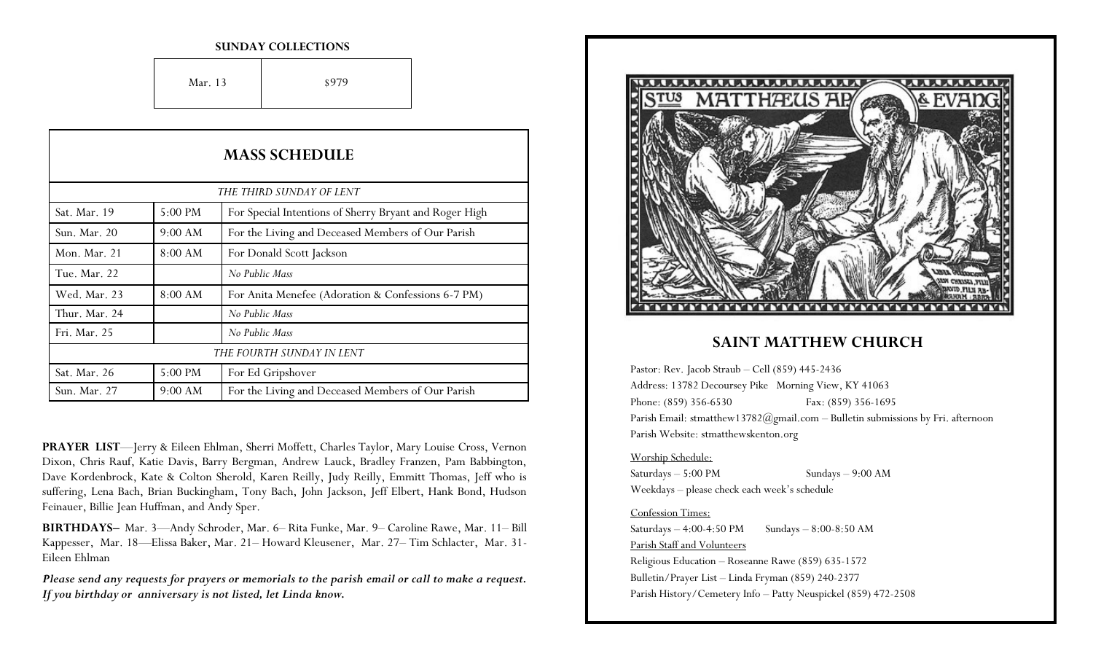#### **SUNDAY COLLECTIONS**

Mar. 13 \$979

| <b>MASS SCHEDULE</b><br>THE THIRD SUNDAY OF LENT |           |                                                    |
|--------------------------------------------------|-----------|----------------------------------------------------|
|                                                  |           |                                                    |
| Sun. Mar. 20                                     | $9:00$ AM | For the Living and Deceased Members of Our Parish  |
| Mon. Mar. 21                                     | 8:00 AM   | For Donald Scott Jackson                           |
| Tue. Mar. 22                                     |           | No Public Mass                                     |
| Wed. Mar. 23                                     | 8:00 AM   | For Anita Menefee (Adoration & Confessions 6-7 PM) |
| Thur. Mar. 24                                    |           | No Public Mass                                     |
| Fri. Mar. 25                                     |           | No Public Mass                                     |
|                                                  |           | THE FOURTH SUNDAY IN LENT                          |
| Sat. Mar. 26                                     | 5:00 PM   | For Ed Gripshover                                  |
| Sun. Mar. 27                                     | 9:00 AM   | For the Living and Deceased Members of Our Parish  |

**PRAYER LIST**—Jerry & Eileen Ehlman, Sherri Moffett, Charles Taylor, Mary Louise Cross, Vernon Dixon, Chris Rauf, Katie Davis, Barry Bergman, Andrew Lauck, Bradley Franzen, Pam Babbington, Dave Kordenbrock, Kate & Colton Sherold, Karen Reilly, Judy Reilly, Emmitt Thomas, Jeff who is suffering, Lena Bach, Brian Buckingham, Tony Bach, John Jackson, Jeff Elbert, Hank Bond, Hudson Feinauer, Billie Jean Huffman, and Andy Sper.

**BIRTHDAYS–** Mar. 3—Andy Schroder, Mar. 6– Rita Funke, Mar. 9– Caroline Rawe, Mar. 11– Bill Kappesser, Mar. 18—Elissa Baker, Mar. 21– Howard Kleusener, Mar. 27– Tim Schlacter, Mar. 31- Eileen Ehlman

*Please send any requests for prayers or memorials to the parish email or call to make a request. If you birthday or anniversary is not listed, let Linda know.*



## **SAINT MATTHEW CHURCH**

Pastor: Rev. Jacob Straub – Cell (859) 445-2436 Address: 13782 Decoursey Pike Morning View, KY 41063 Phone: (859) 356-6530 Fax: (859) 356-1695 Parish Email: stmatthew13782@gmail.com - Bulletin submissions by Fri. afternoon Parish Website: stmatthewskenton.org

#### Worship Schedule:

Saturdays – 5:00 PM Sundays – 9:00 AM Weekdays – please check each week's schedule

### Confession Times:

Saturdays  $-4:00-4:50 \text{ PM}$  Sundays  $-8:00-8:50 \text{ AM}$ Parish Staff and Volunteers Religious Education – Roseanne Rawe (859) 635-1572 Bulletin/Prayer List – Linda Fryman (859) 240-2377 Parish History/Cemetery Info – Patty Neuspickel (859) 472-2508